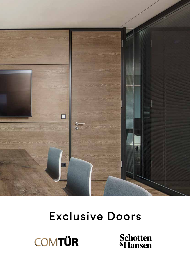

### Exclusive Doors



**Schotten**<br>**«Hansen**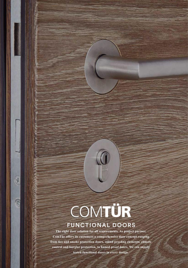## COMTÜR

 $\frac{1}{2}$ 

 $\mathbb{R}$ 

#### FUNCTIONAL DOORS

**The right door solution for all requirements. As project partner, ComTür offers its customers a comprehensive door concept ranging from fire and smoke protection doors, sound proofing elements, climate control and burglar protection, to humid proof doors. We can supply tested functional doors in every design.**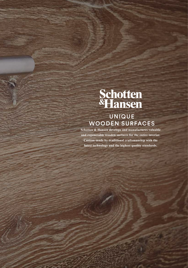# Schotten<br>**«Hansen**

#### UNIQUE WOODEN SURFACES

**Schotten & Hansen develops and manufactures valuable and regenerable wooden surfaces for the entire interior. Custom-made by traditional craftsmanship with the latest technology and the highest quality standards.**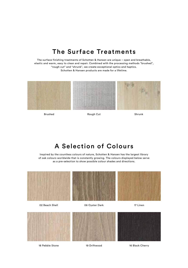#### The Surface Treatments

The surface finishing treatments of Schotten & Hansen are unique – open and breathable, elastic and warm, easy to clean and repair. Combined with the processing methods "brushed", "rough cut" and "shrunk", we create exceptional optics and haptics. Schotten & Hansen products are made for a lifetime.



Brushed Rough Cut Rough Cut

#### A Selection of Colours

Inspired by the countless colours of nature, Schotten & Hansen has the largest library of oak colours worldwide that is constantly growing. The colours displayed below serve as a pre-selection to show possible colour shades and directions.

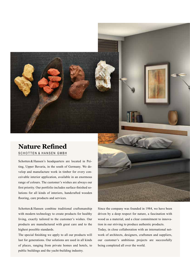

#### **Nature Refined** SCHOTTEN & HANSEN GMBH

Schotten & Hansen's headquarters are located in Peiting, Upper Bavaria, in the south of Germany. We develop and manufacture work in timber for every conceivable interior application, available in an enormous range of colours. The customer's wishes are always our first priority. Our portfolio includes surface-finished solutions for all kinds of interiors, handcrafted wooden flooring, care products and services.

Schotten & Hansen combine traditional craftsmanship with modern technology to create products for healthy living, exactly tailored to the customer's wishes. Our products are manufactured with great care and to the highest possible standards.

The special finishing we apply to all our products will last for generations. Our solutions are used in all kinds of places, ranging from private homes and hotels, to public buildings and the yacht-building industry.



Since the company was founded in 1984, we have been driven by a deep respect for nature, a fascination with wood as a material, and a clear commitment to innovation in our striving to produce authentic products.

Today, in close collaboration with an international network of architects, designers, craftsmen and suppliers, our customer's ambitious projects are successfully being completed all over the world.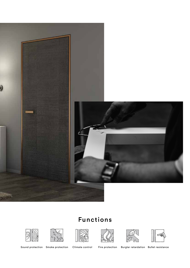

#### Functions













Sound protection Smoke protection Climate control Fire protection Burglar retardation Bullet resistance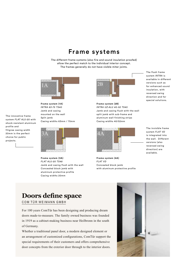#### Frame systems

The different frame systems (also fire and sound insulation proofed) allow the perfect match to the individual interior concept. The frames generally do not have visible miter joints.



**Frame system (1A)**  *INTRA 63-75 TS40* Jamb and casing mounted on the wall Split jamb Casing widths 63mm / 75mm

system *FLAT ALU-20* with shock-resistant aluminum profile and filigree casing width 20mm is the perfect choice for public projects.

The innovative frame



**Frame system (3A)**  *FLAT ALU-20 TS48* Jamb and casing flush with the wall Concealed block jamb with aluminum protective profile Casing widths 20mm



**Frame system (2B)**  *INTRA UZ-ALU 40-52 TS40*  Jamb and casing flush with the wall split jamb with sub-frame and aluminum wall finishing strips Casing widths 40/52mm



**Frame system (4A)**  *FLAT VD* Concealed block jamb with aluminum protective profile

The flush frame system *INTRA* is available in different versions such as for enhanced sound insulation, with reversed swing direction and for special solutions.

The invisible frame system *FLAT VD* is integrated into the wall. Different versions (also reversed swing direction) are available.

#### **Doors define space**

COM TÜR WEIMANN GMBH

For 100 years ComTür has been designing and producing dream doors made-to-measure. The family owned business was founded in 1919 as a cabinet-making business near Heilbronn in the south of Germany.

Whether a traditional panel door, a modern designed element or an arrangement of customized configurations, ComTür support the special requirements of their customers and offers comprehensive door concepts from the exterior door through to the interior doors.